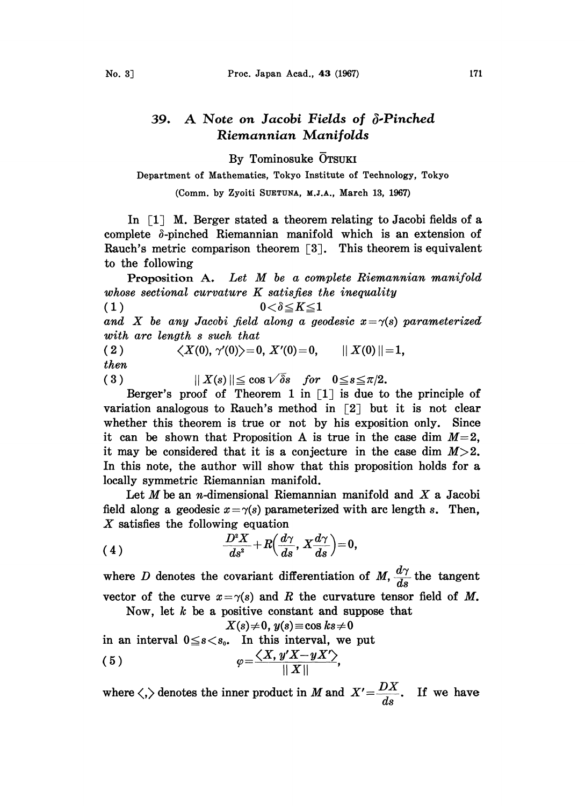## 39. A Note on Jacobi Fields of  $\delta$ -Pinched Riemannian Manifolds

By Tominosuke OTSUKI

Department of Mathematics, Tokyo Institute of Technology, Tokyo

(Comm. by Zyoiti SUETUNA, M.J.A., March 13, 1967)

In  $\lceil 1 \rceil$  M. Berger stated a theorem relating to Jacobi fields of a complete  $\delta$ -pinched Riemannian manifold which is an extension of Rauch's metric comparison theorem  $\lceil 3 \rceil$ . This theorem is equivalent to the following

Proposition A. Let M be a complete Riemannian manifold whose sectional curvature K satisfies the inequality

(1)  $0<\delta \leq K \leq 1$ 

and X be any Jacobi field along a geodesic  $x = \gamma(s)$  parameterized with arc length s such that

( 2 )  $\langle X(0), \gamma'(0) \rangle = 0, X'(0) = 0, \quad || X(0) || = 1,$ then

( 3 )  $\| X(s) \| \leq \cos \sqrt{\delta} s$  for  $0 \leq s \leq \pi/2$ .

Berger's proof of Theorem 1 in  $\lceil 1 \rceil$  is due to the principle of variation analogous to Rauch's method in  $\lceil 2 \rceil$  but it is not clear whether this theorem is true or not by his exposition only. Since it can be shown that Proposition A is true in the case dim  $M=2$ , it may be considered that it is a conjecture in the case dim  $M>2$ . In this note, the author will show that this proposition holds for a locally symmetric Riemannian manifold.

Let  $M$  be an n-dimensional Riemannian manifold and  $X$  a Jacobi field along a geodesic  $x = \gamma(s)$  parameterized with arc length s. Then,  $X$  satisfies the following equation

(4) 
$$
\frac{D^2 X}{ds^2} + R\left(\frac{d\gamma}{ds}, X\frac{d\gamma}{ds}\right) = 0,
$$

where D denotes the covariant differentiation of  $M$ ,  $\frac{d\gamma}{ds}$  the tangent vector of the curve  $x = \gamma(s)$  and R the curvature tensor field of M.

Now, let  $k$  be a positive constant and suppose that

 $X(s) \neq 0, y(s) \equiv \cos ks \neq 0$ 

in an interval  $0 \le s < s_0$ . In this interval, we put

$$
\varphi = \frac{\langle X, y'X - yX' \rangle}{\|X\|},
$$

where  $\langle , \rangle$  denotes the inner product in M and  $X' = \dfrac{DX}{ds}$ . If we have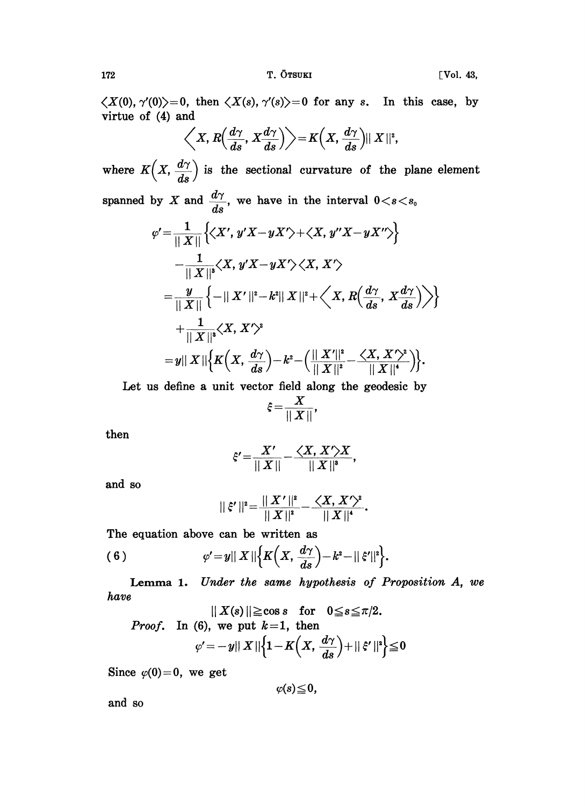172 T. OTSUKI [Vol. 43,

 $\langle X(0), \gamma'(0) \rangle = 0$ , then  $\langle X(s), \gamma'(s) \rangle = 0$  for any s. In this case, by virtue of (4) and

$$
\left\langle X, R\left(\frac{d\gamma}{ds}, X\frac{d\gamma}{ds}\right)\right\rangle = K\left(X, \frac{d\gamma}{ds}\right) || X ||^2,
$$

where  $K\left(X, \frac{d\gamma}{ds}\right)$  is the sectional curvature of the plane element spanned by X and  $\frac{d\gamma}{ds}$ , we have in the interval  $0 < s < s_0$ 

$$
\varphi' = \frac{1}{\|X\|} \left\{ \langle X', y'X - yX' \rangle + \langle X, y''X - yX'' \rangle \right\}
$$
  
\n
$$
- \frac{1}{\|X\|^s} \langle X, y'X - yX' \rangle \langle X, X' \rangle
$$
  
\n
$$
= \frac{y}{\|X\|} \left\{ -\|X'\|^2 - k^2 \|X\|^2 + \langle X, R\left(\frac{d\gamma}{ds}, X\frac{d\gamma}{ds}\right) \rangle \right\}
$$
  
\n
$$
+ \frac{1}{\|X\|^s} \langle X, X' \rangle^2
$$
  
\n
$$
= y \|X\| \left\{ K\left(X, \frac{d\gamma}{ds}\right) - k^2 - \left(\frac{\|X'\|^2}{\|X\|^2} - \frac{\langle X, X' \rangle^2}{\|X\|^4} \right) \right\}.
$$

Let us define a unit vector field along the geodesic by

$$
\xi = \frac{X}{\|X\|},
$$

then

$$
\xi' = \frac{X'}{\|X\|} - \frac{\langle X, X'\rangle X}{\|X\|^s},
$$

and so

$$
||\xi'||^2 = \frac{||X'||^2}{||X||^2} - \frac{\langle X, X'\rangle^2}{||X||^4}.
$$

The equation above can be written as

$$
(6) \t\t\t \varphi'=y||X||\Big\{K\Big(X,\frac{d\gamma}{ds}\Big)-k^2-||\xi'||^2\Big\}.
$$

Lemma 1. Under the same hypothesis of Proposition A, we have

$$
||X(s)|| \ge \cos s \quad \text{for} \quad 0 \le s \le \pi/2.
$$
  
*Proof.* In (6), we put  $k=1$ , then  

$$
\varphi' = -y||X||\left\{1 - K\left(X, \frac{d\gamma}{ds}\right) + ||\xi'||^2\right\} \le 0
$$

Since  $\varphi(0)=0$ , we get

$$
\varphi(s)\!\leq\!0,
$$

and so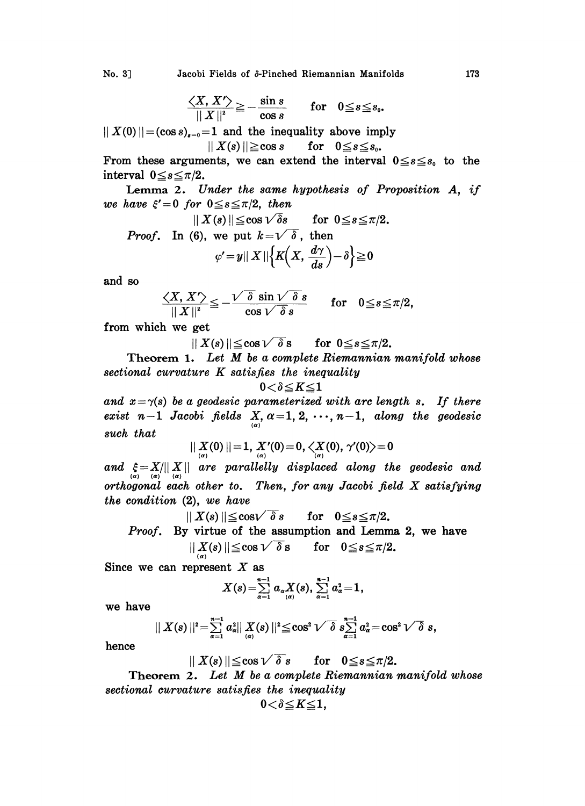No. 3] Jacobi Fields of  $\delta$ -Pinched Riemannian Manifolds 173

$$
\frac{\langle X, X' \rangle}{\|X\|^2} \geq -\frac{\sin s}{\cos s} \quad \text{for} \quad 0 \leq s \leq s_0.
$$

 $||X(0)|| = (\cos s)_{s=0} = 1$  and the inequality above imply  $|| X(s) || \geq \cos s$  for  $0 \leq s \leq s_0$ .

From these arguments, we can extend the interval  $0 \le s \le s_0$  to the interval  $0 \leq s \leq \pi/2$ .

Lemma 2. Under the same hypothesis of Proposition A, if we have  $\xi' = 0$  for  $0 \leq s \leq \pi/2$ , then

*Proof.* In (6), we put 
$$
k = \sqrt{\delta}
$$
, then  
\n
$$
\varphi' = y || X || \{ K(X, \frac{d\gamma}{ds}) - \delta \} \ge 0
$$

and so

$$
\frac{\langle X, X' \rangle}{\|X\|^2} \leqq -\frac{\sqrt{\delta}\, \sin \sqrt{\delta}\, s}{\cos \sqrt{\delta}\, s} \qquad \text{for} \quad 0 \leqq s \leqq \pi/2,
$$

from which we get

 $\|X(s)\| \leq \cos \sqrt{\delta} s$  for  $0 \leq s \leq \pi/2$ .

Theorem 1. Let  $M$  be a complete Riemannian manifold whose sectional curvature K satisfies the inequality

$$
0\!<\!\delta\!\leq\!K\!\leq\!1
$$

and  $x = \gamma(s)$  be a geodesic parameterized with arc length s. If there exist n-1 Jacobi fields  $X, \alpha = 1, 2, \cdots, n-1$ , along the geodesic such that

$$
||X_{\alpha/(\alpha)}(0)||=1, X'_{\alpha/(\alpha)}(0)=0, \langle X_{\alpha/(\alpha)}(0), \gamma'(0)\rangle=0
$$

and  $\xi = X/||X||$  are parallelly displaced along the geodesic and orthogonal each other to. Then, for any Jacobi field X satisfying the condition (2), we have

$$
\parallel X(s) \parallel \leqq \cos \sqrt{\delta}\,s \qquad \text{for} \quad 0 \leqq s \leqq \pi/2.
$$

*Proof.* By virtue of the assumption and Lemma 2, we have  $0 < \alpha < \pi/9$ 

$$
||\mathbf{A}(s)|| \leq \cos V \quad \text{o s} \qquad \text{for} \quad \mathbf{0} \leq s \leq \pi/2.
$$

Since we can represent  $X$  as

$$
X(s) = \sum_{\alpha=1}^{n-1} a_{\alpha} X(\alpha) , \sum_{\alpha=1}^{n-1} a_{\alpha}^2 = 1,
$$

we have

$$
|| X(s)||^2 = \sum_{\alpha=1}^{n-1} a_{\alpha}^2 || X(s)||^2 \leq \cos^2 \sqrt{\delta} \ s \sum_{\alpha=1}^{n-1} a_{\alpha}^2 = \cos^2 \sqrt{\delta} \ s,
$$

hence

$$
|| X(s)|| \le \cos \sqrt{\delta s}
$$
 for  $0 \le s \le \pi/2$ .

 $\begin{aligned} || \Delta(s) || &= \sum_{\alpha=1}^{\infty} a_{\alpha} || \Delta(s) || \leq \cos V \quad \text{for} \quad s \leq 1 \ a_{\alpha} = \cos V \quad \text{or} \quad s, \end{aligned}$ <br>  $\text{Theorem 2.} Let M be a complete Riemannian manifold whose$ sectional curvature satisfies the inequality

$$
0\!<\!\delta\!\leq\!K\!\leq\!1,
$$